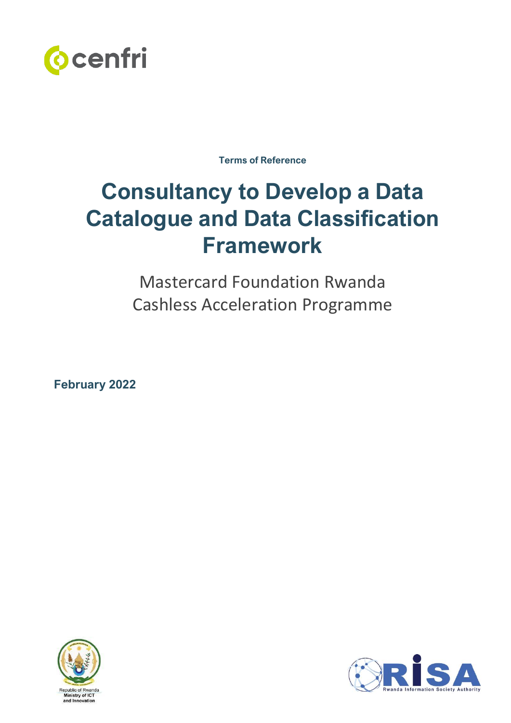

**Terms of Reference**

# **Consultancy to Develop a Data Catalogue and Data Classification Framework**

Mastercard Foundation Rwanda Cashless Acceleration Programme

**February 2022**



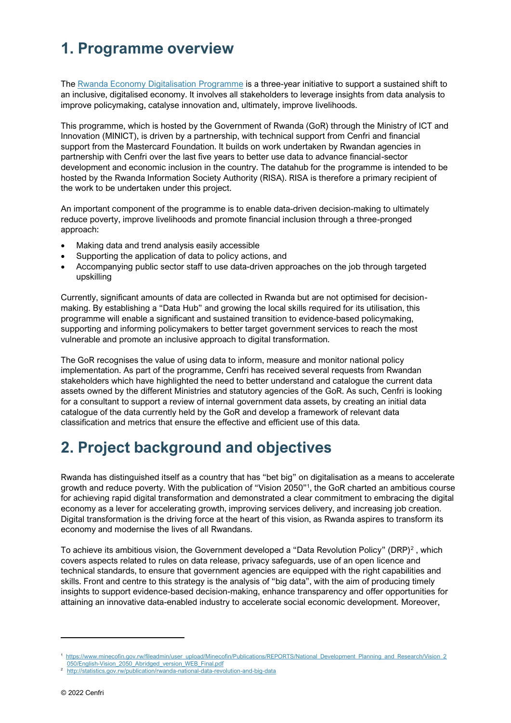# **1. Programme overview**

The [Rwanda Economy Digitalisation Programme](https://cenfri.org/research-themes/rwandan-economy-digitalisation-programme/) is a three-year initiative to support a sustained shift to an inclusive, digitalised economy. It involves all stakeholders to leverage insights from data analysis to improve policymaking, catalyse innovation and, ultimately, improve livelihoods.

This programme, which is hosted by the Government of Rwanda (GoR) through the Ministry of ICT and Innovation (MINICT), is driven by a partnership, with technical support from Cenfri and financial support from the Mastercard Foundation. It builds on work undertaken by Rwandan agencies in partnership with Cenfri over the last five years to better use data to advance financial-sector development and economic inclusion in the country. The datahub for the programme is intended to be hosted by the Rwanda Information Society Authority (RISA). RISA is therefore a primary recipient of the work to be undertaken under this project.

An important component of the programme is to enable data-driven decision-making to ultimately reduce poverty, improve livelihoods and promote financial inclusion through a three-pronged approach:

- Making data and trend analysis easily accessible
- Supporting the application of data to policy actions, and
- Accompanying public sector staff to use data-driven approaches on the job through targeted upskilling

Currently, significant amounts of data are collected in Rwanda but are not optimised for decisionmaking. By establishing a "Data Hub" and growing the local skills required for its utilisation, this programme will enable a significant and sustained transition to evidence-based policymaking, supporting and informing policymakers to better target government services to reach the most vulnerable and promote an inclusive approach to digital transformation.

The GoR recognises the value of using data to inform, measure and monitor national policy implementation. As part of the programme, Cenfri has received several requests from Rwandan stakeholders which have highlighted the need to better understand and catalogue the current data assets owned by the different Ministries and statutory agencies of the GoR. As such, Cenfri is looking for a consultant to support a review of internal government data assets, by creating an initial data catalogue of the data currently held by the GoR and develop a framework of relevant data classification and metrics that ensure the effective and efficient use of this data.

# **2. Project background and objectives**

Rwanda has distinguished itself as a country that has "bet big" on digitalisation as a means to accelerate growth and reduce poverty. With the publication of "Vision 2050"<sup>1</sup> , the GoR charted an ambitious course for achieving rapid digital transformation and demonstrated a clear commitment to embracing the digital economy as a lever for accelerating growth, improving services delivery, and increasing job creation. Digital transformation is the driving force at the heart of this vision, as Rwanda aspires to transform its economy and modernise the lives of all Rwandans.

To achieve its ambitious vision, the Government developed a "Data Revolution Policy" (DRP)<sup>2</sup> , which covers aspects related to rules on data release, privacy safeguards, use of an open licence and technical standards, to ensure that government agencies are equipped with the right capabilities and skills. Front and centre to this strategy is the analysis of "big data", with the aim of producing timely insights to support evidence-based decision-making, enhance transparency and offer opportunities for attaining an innovative data-enabled industry to accelerate social economic development. Moreover,

<sup>1</sup>  [https://www.minecofin.gov.rw/fileadmin/user\\_upload/Minecofin/Publications/REPORTS/National\\_Development\\_Planning\\_and\\_Research/Vision\\_2](https://www.minecofin.gov.rw/fileadmin/user_upload/Minecofin/Publications/REPORTS/National_Development_Planning_and_Research/Vision_2050/English-Vision_2050_Abridged_version_WEB_Final.pdf) [050/English-Vision\\_2050\\_Abridged\\_version\\_WEB\\_Final.pdf](https://www.minecofin.gov.rw/fileadmin/user_upload/Minecofin/Publications/REPORTS/National_Development_Planning_and_Research/Vision_2050/English-Vision_2050_Abridged_version_WEB_Final.pdf)

<sup>2</sup> <http://statistics.gov.rw/publication/rwanda-national-data-revolution-and-big-data>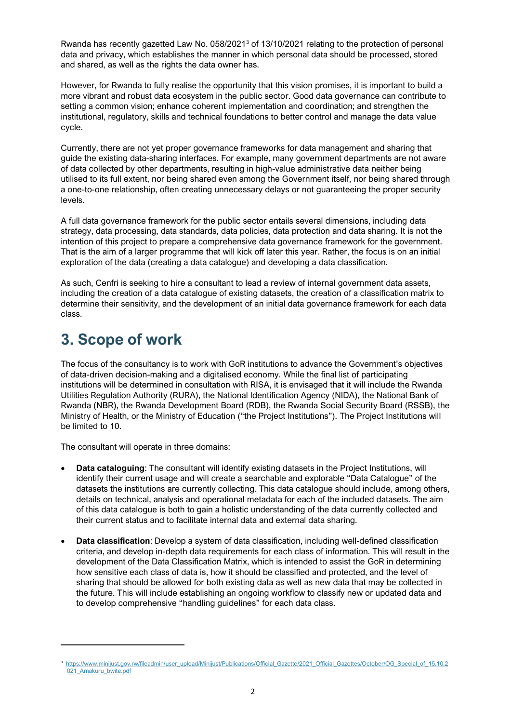Rwanda has recently gazetted Law No. 058/2021<sup>3</sup> of 13/10/2021 relating to the protection of personal data and privacy, which establishes the manner in which personal data should be processed, stored and shared, as well as the rights the data owner has.

However, for Rwanda to fully realise the opportunity that this vision promises, it is important to build a more vibrant and robust data ecosystem in the public sector. Good data governance can contribute to setting a common vision; enhance coherent implementation and coordination; and strengthen the institutional, regulatory, skills and technical foundations to better control and manage the data value cycle.

Currently, there are not yet proper governance frameworks for data management and sharing that guide the existing data-sharing interfaces. For example, many government departments are not aware of data collected by other departments, resulting in high-value administrative data neither being utilised to its full extent, nor being shared even among the Government itself, nor being shared through a one-to-one relationship, often creating unnecessary delays or not guaranteeing the proper security levels.

A full data governance framework for the public sector entails several dimensions, including data strategy, data processing, data standards, data policies, data protection and data sharing. It is not the intention of this project to prepare a comprehensive data governance framework for the government. That is the aim of a larger programme that will kick off later this year. Rather, the focus is on an initial exploration of the data (creating a data catalogue) and developing a data classification.

As such, Cenfri is seeking to hire a consultant to lead a review of internal government data assets, including the creation of a data catalogue of existing datasets, the creation of a classification matrix to determine their sensitivity, and the development of an initial data governance framework for each data class.

### **3. Scope of work**

The focus of the consultancy is to work with GoR institutions to advance the Government's objectives of data-driven decision-making and a digitalised economy. While the final list of participating institutions will be determined in consultation with RISA, it is envisaged that it will include the Rwanda Utilities Regulation Authority (RURA), the National Identification Agency (NIDA), the National Bank of Rwanda (NBR), the Rwanda Development Board (RDB), the Rwanda Social Security Board (RSSB), the Ministry of Health, or the Ministry of Education ("the Project Institutions"). The Project Institutions will be limited to 10.

The consultant will operate in three domains:

- **Data cataloguing:** The consultant will identify existing datasets in the Project Institutions, will identify their current usage and will create a searchable and explorable "Data Catalogue" of the datasets the institutions are currently collecting. This data catalogue should include, among others, details on technical, analysis and operational metadata for each of the included datasets. The aim of this data catalogue is both to gain a holistic understanding of the data currently collected and their current status and to facilitate internal data and external data sharing.
- **Data classification**: Develop a system of data classification, including well-defined classification criteria, and develop in-depth data requirements for each class of information. This will result in the development of the Data Classification Matrix, which is intended to assist the GoR in determining how sensitive each class of data is, how it should be classified and protected, and the level of sharing that should be allowed for both existing data as well as new data that may be collected in the future. This will include establishing an ongoing workflow to classify new or updated data and to develop comprehensive "handling guidelines" for each data class.

<sup>3</sup>  [https://www.minijust.gov.rw/fileadmin/user\\_upload/Minijust/Publications/Official\\_Gazette/2021\\_Official\\_Gazettes/October/OG\\_Special\\_of\\_15.10.2](https://www.minijust.gov.rw/fileadmin/user_upload/Minijust/Publications/Official_Gazette/2021_Official_Gazettes/October/OG_Special_of_15.10.2021_Amakuru_bwite.pdf) [021\\_Amakuru\\_bwite.pdf](https://www.minijust.gov.rw/fileadmin/user_upload/Minijust/Publications/Official_Gazette/2021_Official_Gazettes/October/OG_Special_of_15.10.2021_Amakuru_bwite.pdf)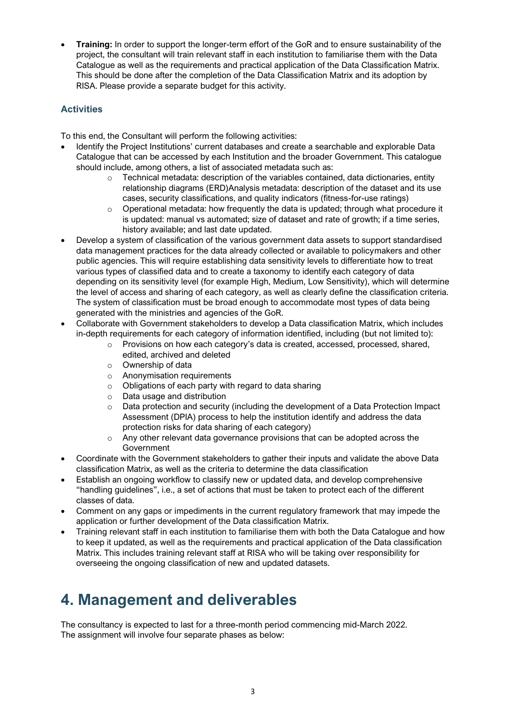• **Training:** In order to support the longer-term effort of the GoR and to ensure sustainability of the project, the consultant will train relevant staff in each institution to familiarise them with the Data Catalogue as well as the requirements and practical application of the Data Classification Matrix. This should be done after the completion of the Data Classification Matrix and its adoption by RISA. Please provide a separate budget for this activity.

#### **Activities**

To this end, the Consultant will perform the following activities:

- Identify the Project Institutions' current databases and create a searchable and explorable Data Catalogue that can be accessed by each Institution and the broader Government. This catalogue should include, among others, a list of associated metadata such as:
	- $\circ$  Technical metadata: description of the variables contained, data dictionaries, entity relationship diagrams (ERD)Analysis metadata: description of the dataset and its use cases, security classifications, and quality indicators (fitness-for-use ratings)
	- $\circ$  Operational metadata: how frequently the data is updated; through what procedure it is updated: manual vs automated; size of dataset and rate of growth; if a time series, history available; and last date updated.
- Develop a system of classification of the various government data assets to support standardised data management practices for the data already collected or available to policymakers and other public agencies. This will require establishing data sensitivity levels to differentiate how to treat various types of classified data and to create a taxonomy to identify each category of data depending on its sensitivity level (for example High, Medium, Low Sensitivity), which will determine the level of access and sharing of each category, as well as clearly define the classification criteria. The system of classification must be broad enough to accommodate most types of data being generated with the ministries and agencies of the GoR.
- Collaborate with Government stakeholders to develop a Data classification Matrix, which includes in-depth requirements for each category of information identified, including (but not limited to):
	- o Provisions on how each category's data is created, accessed, processed, shared, edited, archived and deleted
	- o Ownership of data
	- o Anonymisation requirements
	- o Obligations of each party with regard to data sharing
	- o Data usage and distribution
	- o Data protection and security (including the development of a Data Protection Impact Assessment (DPIA) process to help the institution identify and address the data protection risks for data sharing of each category)
	- $\circ$  Any other relevant data governance provisions that can be adopted across the Government
- Coordinate with the Government stakeholders to gather their inputs and validate the above Data classification Matrix, as well as the criteria to determine the data classification
- Establish an ongoing workflow to classify new or updated data, and develop comprehensive "handling guidelines", i.e., a set of actions that must be taken to protect each of the different classes of data.
- Comment on any gaps or impediments in the current regulatory framework that may impede the application or further development of the Data classification Matrix.
- Training relevant staff in each institution to familiarise them with both the Data Catalogue and how to keep it updated, as well as the requirements and practical application of the Data classification Matrix. This includes training relevant staff at RISA who will be taking over responsibility for overseeing the ongoing classification of new and updated datasets.

# **4. Management and deliverables**

The consultancy is expected to last for a three-month period commencing mid-March 2022. The assignment will involve four separate phases as below: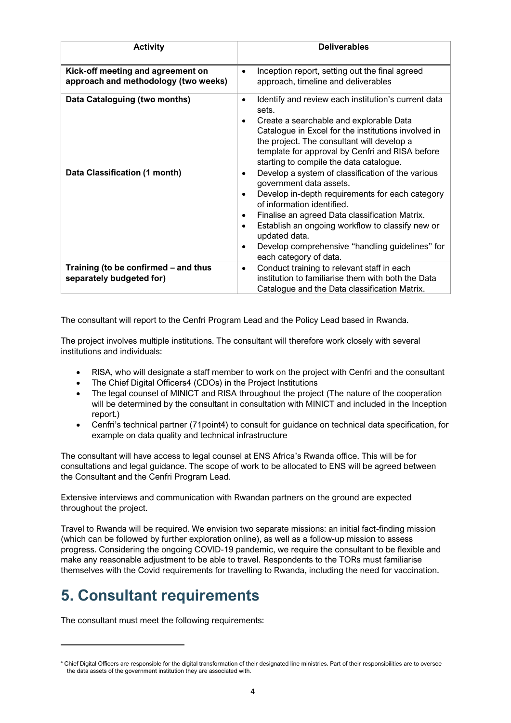| <b>Activity</b>                                                           | <b>Deliverables</b>                                                                                                                                                                                                                                                                                                                                                                                                        |
|---------------------------------------------------------------------------|----------------------------------------------------------------------------------------------------------------------------------------------------------------------------------------------------------------------------------------------------------------------------------------------------------------------------------------------------------------------------------------------------------------------------|
| Kick-off meeting and agreement on<br>approach and methodology (two weeks) | Inception report, setting out the final agreed<br>$\bullet$<br>approach, timeline and deliverables                                                                                                                                                                                                                                                                                                                         |
| Data Cataloguing (two months)                                             | Identify and review each institution's current data<br>$\bullet$<br>sets.<br>Create a searchable and explorable Data<br>Catalogue in Excel for the institutions involved in<br>the project. The consultant will develop a<br>template for approval by Cenfri and RISA before<br>starting to compile the data catalogue.                                                                                                    |
| Data Classification (1 month)                                             | Develop a system of classification of the various<br>$\bullet$<br>government data assets.<br>Develop in-depth requirements for each category<br>$\bullet$<br>of information identified.<br>Finalise an agreed Data classification Matrix.<br>٠<br>Establish an ongoing workflow to classify new or<br>$\bullet$<br>updated data.<br>Develop comprehensive "handling guidelines" for<br>$\bullet$<br>each category of data. |
| Training (to be confirmed - and thus<br>separately budgeted for)          | Conduct training to relevant staff in each<br>$\bullet$<br>institution to familiarise them with both the Data<br>Catalogue and the Data classification Matrix.                                                                                                                                                                                                                                                             |

The consultant will report to the Cenfri Program Lead and the Policy Lead based in Rwanda.

The project involves multiple institutions. The consultant will therefore work closely with several institutions and individuals:

- RISA, who will designate a staff member to work on the project with Cenfri and the consultant
- The Chief Digital Officers4 (CDOs) in the Project Institutions
- The legal counsel of MINICT and RISA throughout the project (The nature of the cooperation will be determined by the consultant in consultation with MINICT and included in the Inception report.)
- Cenfri's technical partner (71point4) to consult for guidance on technical data specification, for example on data quality and technical infrastructure

The consultant will have access to legal counsel at ENS Africa's Rwanda office. This will be for consultations and legal guidance. The scope of work to be allocated to ENS will be agreed between the Consultant and the Cenfri Program Lead.

Extensive interviews and communication with Rwandan partners on the ground are expected throughout the project.

Travel to Rwanda will be required. We envision two separate missions: an initial fact-finding mission (which can be followed by further exploration online), as well as a follow-up mission to assess progress. Considering the ongoing COVID-19 pandemic, we require the consultant to be flexible and make any reasonable adjustment to be able to travel. Respondents to the TORs must familiarise themselves with the Covid requirements for travelling to Rwanda, including the need for vaccination.

### **5. Consultant requirements**

The consultant must meet the following requirements:

<sup>4</sup> Chief Digital Officers are responsible for the digital transformation of their designated line ministries. Part of their responsibilities are to oversee the data assets of the government institution they are associated with.